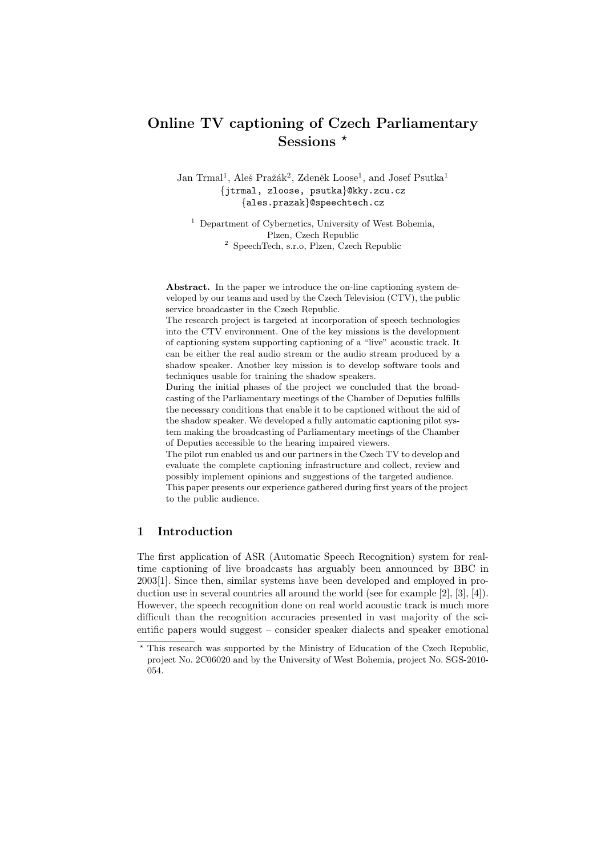# Online TV captioning of Czech Parliamentary Sessions  $*$

Jan Trmal<sup>1</sup>, Aleš Pražák<sup>2</sup>, Zdeněk Loose<sup>1</sup>, and Josef Psutka<sup>1</sup> {jtrmal, zloose, psutka}@kky.zcu.cz {ales.prazak}@speechtech.cz

<sup>1</sup> Department of Cybernetics, University of West Bohemia, Plzen, Czech Republic <sup>2</sup> SpeechTech, s.r.o, Plzen, Czech Republic

Abstract. In the paper we introduce the on-line captioning system developed by our teams and used by the Czech Television (CTV), the public service broadcaster in the Czech Republic.

The research project is targeted at incorporation of speech technologies into the CTV environment. One of the key missions is the development of captioning system supporting captioning of a "live" acoustic track. It can be either the real audio stream or the audio stream produced by a shadow speaker. Another key mission is to develop software tools and techniques usable for training the shadow speakers.

During the initial phases of the project we concluded that the broadcasting of the Parliamentary meetings of the Chamber of Deputies fulfills the necessary conditions that enable it to be captioned without the aid of the shadow speaker. We developed a fully automatic captioning pilot system making the broadcasting of Parliamentary meetings of the Chamber of Deputies accessible to the hearing impaired viewers.

The pilot run enabled us and our partners in the Czech TV to develop and evaluate the complete captioning infrastructure and collect, review and possibly implement opinions and suggestions of the targeted audience. This paper presents our experience gathered during first years of the project to the public audience.

# 1 Introduction

The first application of ASR (Automatic Speech Recognition) system for realtime captioning of live broadcasts has arguably been announced by BBC in 2003[1]. Since then, similar systems have been developed and employed in production use in several countries all around the world (see for example [2], [3], [4]). However, the speech recognition done on real world acoustic track is much more difficult than the recognition accuracies presented in vast majority of the scientific papers would suggest  $-$  consider speaker dialects and speaker emotional

<sup>⋆</sup> This research was supported by the Ministry of Education of the Czech Republic, project No. 2C06020 and by the University of West Bohemia, project No. SGS-2010- 054.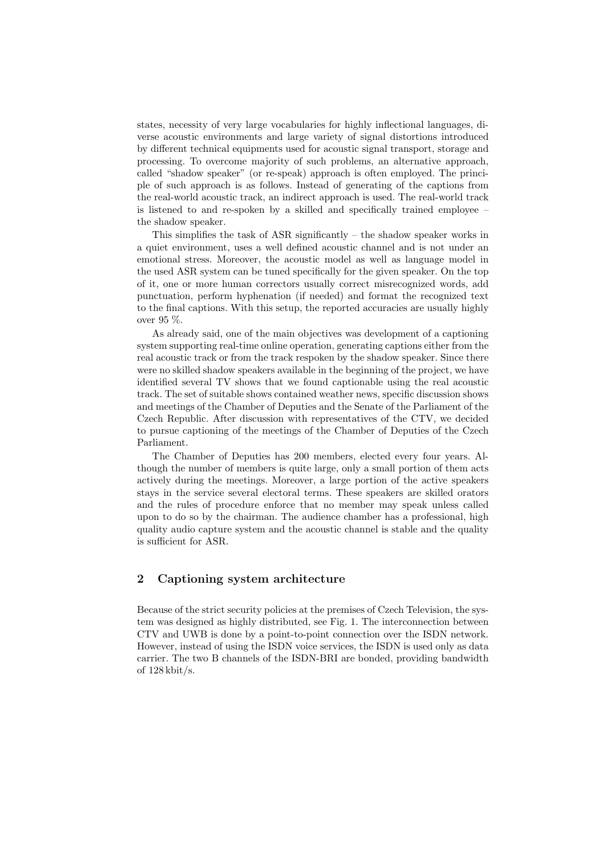states, necessity of very large vocabularies for highly inflectional languages, diverse acoustic environments and large variety of signal distortions introduced by different technical equipments used for acoustic signal transport, storage and processing. To overcome majority of such problems, an alternative approach, called "shadow speaker" (or re-speak) approach is often employed. The principle of such approach is as follows. Instead of generating of the captions from the real-world acoustic track, an indirect approach is used. The real-world track is listened to and re-spoken by a skilled and specifically trained employee – the shadow speaker.

This simplifies the task of ASR significantly – the shadow speaker works in a quiet environment, uses a well defined acoustic channel and is not under an emotional stress. Moreover, the acoustic model as well as language model in the used ASR system can be tuned specifically for the given speaker. On the top of it, one or more human correctors usually correct misrecognized words, add punctuation, perform hyphenation (if needed) and format the recognized text to the final captions. With this setup, the reported accuracies are usually highly over 95 %.

As already said, one of the main objectives was development of a captioning system supporting real-time online operation, generating captions either from the real acoustic track or from the track respoken by the shadow speaker. Since there were no skilled shadow speakers available in the beginning of the project, we have identified several TV shows that we found captionable using the real acoustic track. The set of suitable shows contained weather news, specific discussion shows and meetings of the Chamber of Deputies and the Senate of the Parliament of the Czech Republic. After discussion with representatives of the CTV, we decided to pursue captioning of the meetings of the Chamber of Deputies of the Czech Parliament.

The Chamber of Deputies has 200 members, elected every four years. Although the number of members is quite large, only a small portion of them acts actively during the meetings. Moreover, a large portion of the active speakers stays in the service several electoral terms. These speakers are skilled orators and the rules of procedure enforce that no member may speak unless called upon to do so by the chairman. The audience chamber has a professional, high quality audio capture system and the acoustic channel is stable and the quality is sufficient for ASR.

### 2 Captioning system architecture

Because of the strict security policies at the premises of Czech Television, the system was designed as highly distributed, see Fig. 1. The interconnection between CTV and UWB is done by a point-to-point connection over the ISDN network. However, instead of using the ISDN voice services, the ISDN is used only as data carrier. The two B channels of the ISDN-BRI are bonded, providing bandwidth of 128 kbit/s.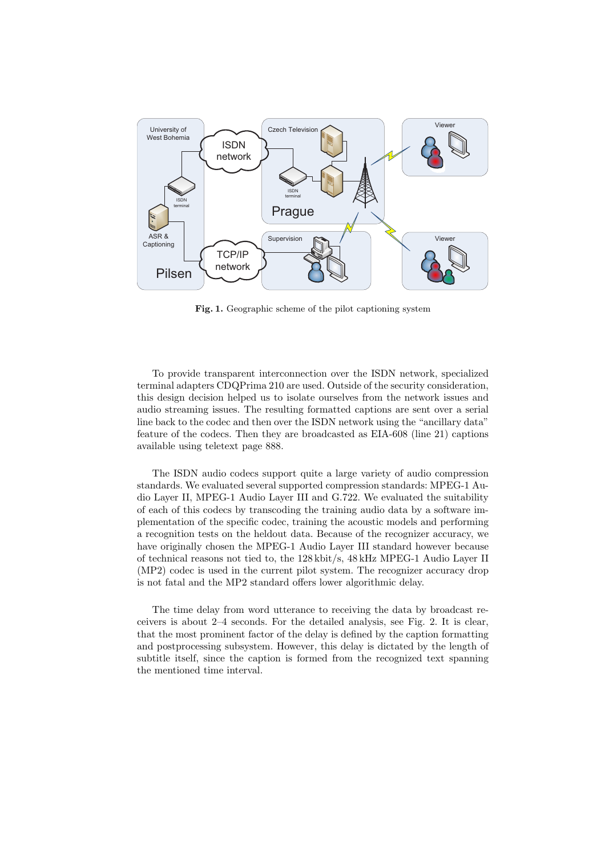

Fig. 1. Geographic scheme of the pilot captioning system

To provide transparent interconnection over the ISDN network, specialized terminal adapters CDQPrima 210 are used. Outside of the security consideration, this design decision helped us to isolate ourselves from the network issues and audio streaming issues. The resulting formatted captions are sent over a serial line back to the codec and then over the ISDN network using the "ancillary data" feature of the codecs. Then they are broadcasted as EIA-608 (line 21) captions available using teletext page 888.

The ISDN audio codecs support quite a large variety of audio compression standards. We evaluated several supported compression standards: MPEG-1 Audio Layer II, MPEG-1 Audio Layer III and G.722. We evaluated the suitability of each of this codecs by transcoding the training audio data by a software implementation of the specific codec, training the acoustic models and performing a recognition tests on the heldout data. Because of the recognizer accuracy, we have originally chosen the MPEG-1 Audio Layer III standard however because of technical reasons not tied to, the 128 kbit/s, 48 kHz MPEG-1 Audio Layer II (MP2) codec is used in the current pilot system. The recognizer accuracy drop is not fatal and the MP2 standard offers lower algorithmic delay.

The time delay from word utterance to receiving the data by broadcast receivers is about 2–4 seconds. For the detailed analysis, see Fig. 2. It is clear, that the most prominent factor of the delay is defined by the caption formatting and postprocessing subsystem. However, this delay is dictated by the length of subtitle itself, since the caption is formed from the recognized text spanning the mentioned time interval.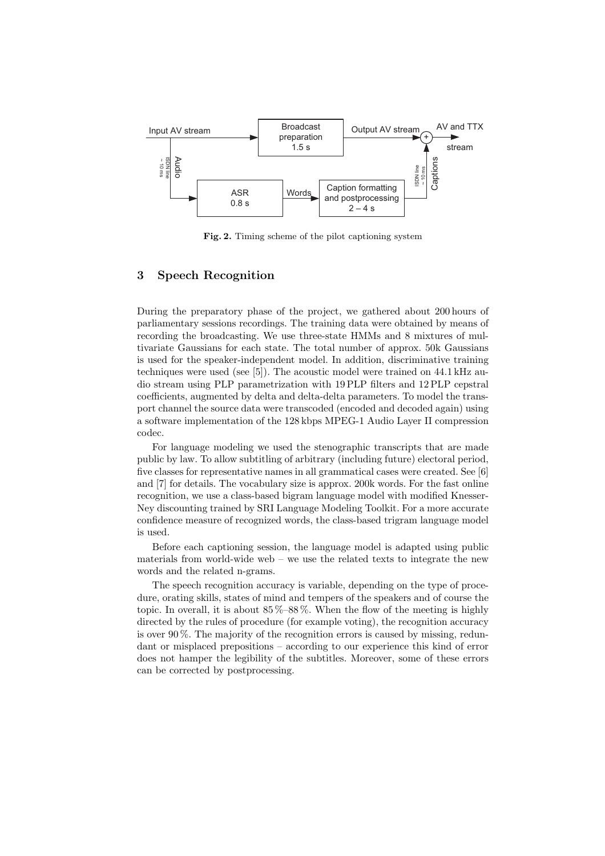

Fig. 2. Timing scheme of the pilot captioning system

# 3 Speech Recognition

During the preparatory phase of the project, we gathered about 200 hours of parliamentary sessions recordings. The training data were obtained by means of recording the broadcasting. We use three-state HMMs and 8 mixtures of multivariate Gaussians for each state. The total number of approx. 50k Gaussians is used for the speaker-independent model. In addition, discriminative training techniques were used (see [5]). The acoustic model were trained on 44.1 kHz audio stream using PLP parametrization with 19 PLP filters and 12 PLP cepstral coefficients, augmented by delta and delta-delta parameters. To model the transport channel the source data were transcoded (encoded and decoded again) using a software implementation of the 128 kbps MPEG-1 Audio Layer II compression codec.

For language modeling we used the stenographic transcripts that are made public by law. To allow subtitling of arbitrary (including future) electoral period, five classes for representative names in all grammatical cases were created. See [6] and [7] for details. The vocabulary size is approx. 200k words. For the fast online recognition, we use a class-based bigram language model with modified Knesser-Ney discounting trained by SRI Language Modeling Toolkit. For a more accurate confidence measure of recognized words, the class-based trigram language model is used.

Before each captioning session, the language model is adapted using public materials from world-wide web – we use the related texts to integrate the new words and the related n-grams.

The speech recognition accuracy is variable, depending on the type of procedure, orating skills, states of mind and tempers of the speakers and of course the topic. In overall, it is about  $85\% - 88\%$ . When the flow of the meeting is highly directed by the rules of procedure (for example voting), the recognition accuracy is over 90 %. The majority of the recognition errors is caused by missing, redundant or misplaced prepositions – according to our experience this kind of error does not hamper the legibility of the subtitles. Moreover, some of these errors can be corrected by postprocessing.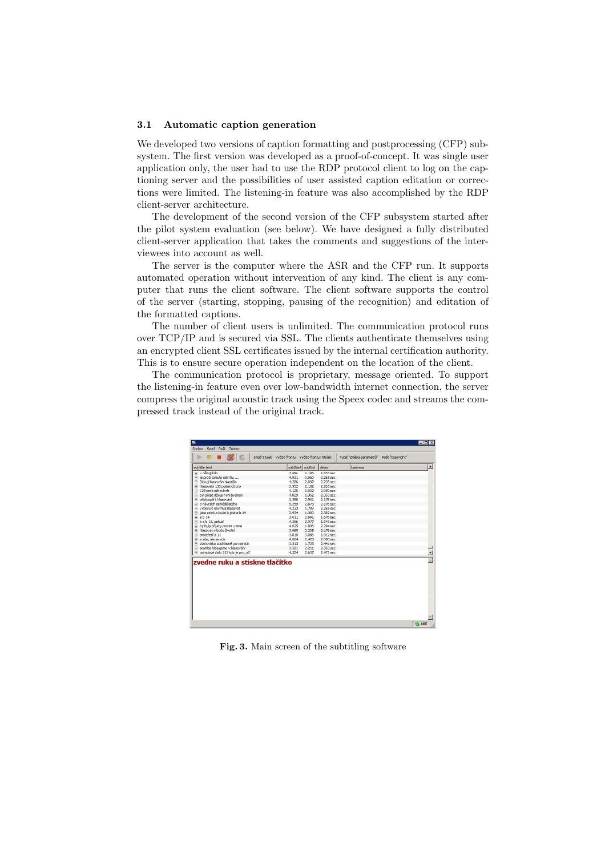#### 3.1 Automatic caption generation

We developed two versions of caption formatting and postprocessing (CFP) subsystem. The first version was developed as a proof-of-concept. It was single user application only, the user had to use the RDP protocol client to log on the captioning server and the possibilities of user assisted caption editation or corrections were limited. The listening-in feature was also accomplished by the RDP client-server architecture.

The development of the second version of the CFP subsystem started after the pilot system evaluation (see below). We have designed a fully distributed client-server application that takes the comments and suggestions of the interviewees into account as well.

The server is the computer where the ASR and the CFP run. It supports automated operation without intervention of any kind. The client is any computer that runs the client software. The client software supports the control of the server (starting, stopping, pausing of the recognition) and editation of the formatted captions.

The number of client users is unlimited. The communication protocol runs over TCP/IP and is secured via SSL. The clients authenticate themselves using an encrypted client SSL certificates issued by the internal certification authority. This is to ensure secure operation independent on the location of the client.

The communication protocol is proprietary, message oriented. To support the listening-in feature even over low-bandwidth internet connection, the server compress the original acoustic track using the Speex codec and streams the compressed track instead of the original track.

| $\frac{1}{2}$ |
|---------------|
|               |
|               |

Fig. 3. Main screen of the subtitling software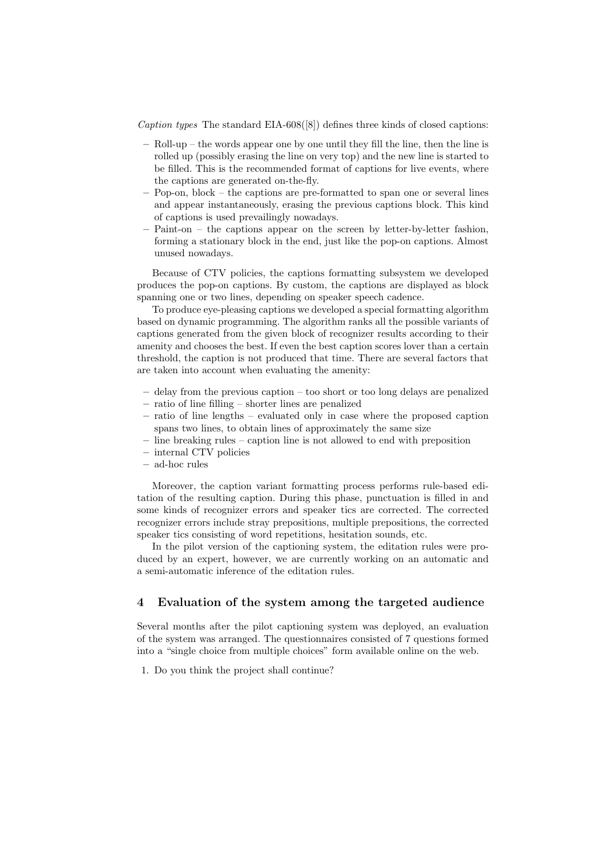Caption types The standard EIA-608([8]) defines three kinds of closed captions:

- Roll-up the words appear one by one until they fill the line, then the line is rolled up (possibly erasing the line on very top) and the new line is started to be filled. This is the recommended format of captions for live events, where the captions are generated on-the-fly.
- Pop-on, block the captions are pre-formatted to span one or several lines and appear instantaneously, erasing the previous captions block. This kind of captions is used prevailingly nowadays.
- Paint-on the captions appear on the screen by letter-by-letter fashion, forming a stationary block in the end, just like the pop-on captions. Almost unused nowadays.

Because of CTV policies, the captions formatting subsystem we developed produces the pop-on captions. By custom, the captions are displayed as block spanning one or two lines, depending on speaker speech cadence.

To produce eye-pleasing captions we developed a special formatting algorithm based on dynamic programming. The algorithm ranks all the possible variants of captions generated from the given block of recognizer results according to their amenity and chooses the best. If even the best caption scores lover than a certain threshold, the caption is not produced that time. There are several factors that are taken into account when evaluating the amenity:

- delay from the previous caption too short or too long delays are penalized
- ratio of line filling shorter lines are penalized
- ratio of line lengths evaluated only in case where the proposed caption spans two lines, to obtain lines of approximately the same size
- line breaking rules caption line is not allowed to end with preposition
- internal CTV policies
- ad-hoc rules

Moreover, the caption variant formatting process performs rule-based editation of the resulting caption. During this phase, punctuation is filled in and some kinds of recognizer errors and speaker tics are corrected. The corrected recognizer errors include stray prepositions, multiple prepositions, the corrected speaker tics consisting of word repetitions, hesitation sounds, etc.

In the pilot version of the captioning system, the editation rules were produced by an expert, however, we are currently working on an automatic and a semi-automatic inference of the editation rules.

# 4 Evaluation of the system among the targeted audience

Several months after the pilot captioning system was deployed, an evaluation of the system was arranged. The questionnaires consisted of 7 questions formed into a "single choice from multiple choices" form available online on the web.

1. Do you think the project shall continue?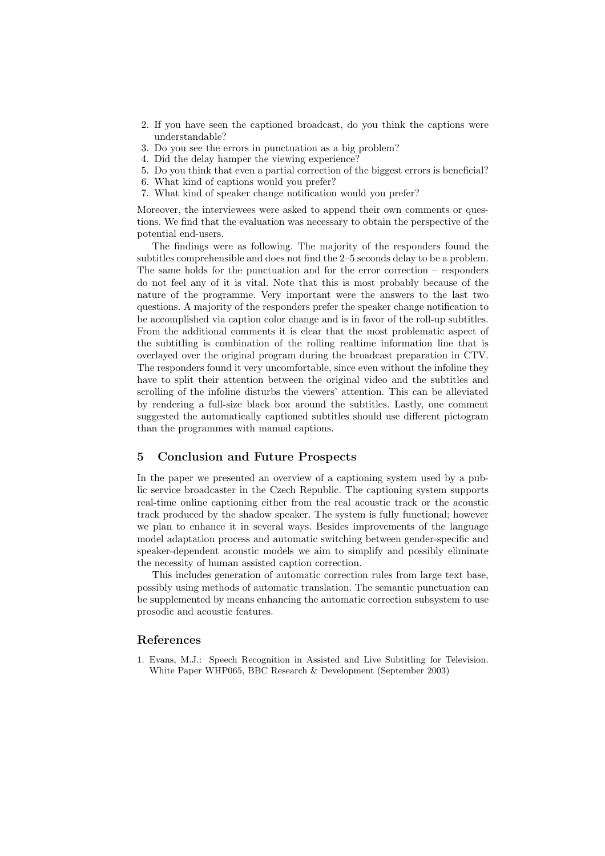- 2. If you have seen the captioned broadcast, do you think the captions were understandable?
- 3. Do you see the errors in punctuation as a big problem?
- 4. Did the delay hamper the viewing experience?
- 5. Do you think that even a partial correction of the biggest errors is beneficial?
- 6. What kind of captions would you prefer?
- 7. What kind of speaker change notification would you prefer?

Moreover, the interviewees were asked to append their own comments or questions. We find that the evaluation was necessary to obtain the perspective of the potential end-users.

The findings were as following. The majority of the responders found the subtitles comprehensible and does not find the 2–5 seconds delay to be a problem. The same holds for the punctuation and for the error correction – responders do not feel any of it is vital. Note that this is most probably because of the nature of the programme. Very important were the answers to the last two questions. A majority of the responders prefer the speaker change notification to be accomplished via caption color change and is in favor of the roll-up subtitles. From the additional comments it is clear that the most problematic aspect of the subtitling is combination of the rolling realtime information line that is overlayed over the original program during the broadcast preparation in CTV. The responders found it very uncomfortable, since even without the infoline they have to split their attention between the original video and the subtitles and scrolling of the infoline disturbs the viewers' attention. This can be alleviated by rendering a full-size black box around the subtitles. Lastly, one comment suggested the automatically captioned subtitles should use different pictogram than the programmes with manual captions.

### 5 Conclusion and Future Prospects

In the paper we presented an overview of a captioning system used by a public service broadcaster in the Czech Republic. The captioning system supports real-time online captioning either from the real acoustic track or the acoustic track produced by the shadow speaker. The system is fully functional; however we plan to enhance it in several ways. Besides improvements of the language model adaptation process and automatic switching between gender-specific and speaker-dependent acoustic models we aim to simplify and possibly eliminate the necessity of human assisted caption correction.

This includes generation of automatic correction rules from large text base, possibly using methods of automatic translation. The semantic punctuation can be supplemented by means enhancing the automatic correction subsystem to use prosodic and acoustic features.

## References

1. Evans, M.J.: Speech Recognition in Assisted and Live Subtitling for Television. White Paper WHP065, BBC Research & Development (September 2003)